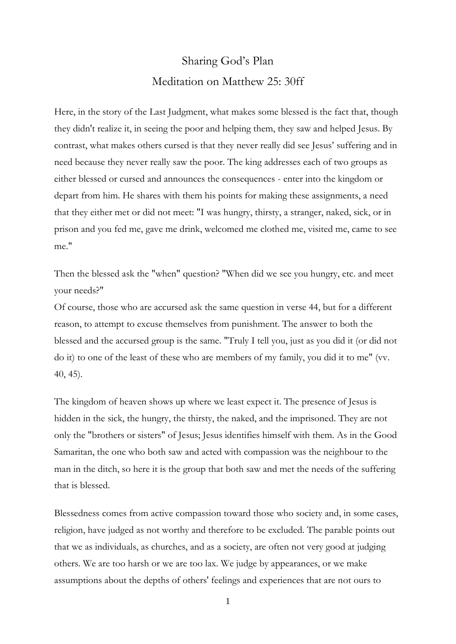## Sharing God's Plan Meditation on Matthew 25: 30ff

Here, in the story of the Last Judgment, what makes some blessed is the fact that, though they didn't realize it, in seeing the poor and helping them, they saw and helped Jesus. By contrast, what makes others cursed is that they never really did see Jesus' suffering and in need because they never really saw the poor. The king addresses each of two groups as either blessed or cursed and announces the consequences - enter into the kingdom or depart from him. He shares with them his points for making these assignments, a need that they either met or did not meet: "I was hungry, thirsty, a stranger, naked, sick, or in prison and you fed me, gave me drink, welcomed me clothed me, visited me, came to see me."

Then the blessed ask the "when" question? "When did we see you hungry, etc. and meet your needs?"

Of course, those who are accursed ask the same question in verse 44, but for a different reason, to attempt to excuse themselves from punishment. The answer to both the blessed and the accursed group is the same. "Truly I tell you, just as you did it (or did not do it) to one of the least of these who are members of my family, you did it to me" (vv. 40, 45).

The kingdom of heaven shows up where we least expect it. The presence of Jesus is hidden in the sick, the hungry, the thirsty, the naked, and the imprisoned. They are not only the "brothers or sisters" of Jesus; Jesus identifies himself with them. As in the Good Samaritan, the one who both saw and acted with compassion was the neighbour to the man in the ditch, so here it is the group that both saw and met the needs of the suffering that is blessed.

Blessedness comes from active compassion toward those who society and, in some cases, religion, have judged as not worthy and therefore to be excluded. The parable points out that we as individuals, as churches, and as a society, are often not very good at judging others. We are too harsh or we are too lax. We judge by appearances, or we make assumptions about the depths of others' feelings and experiences that are not ours to

1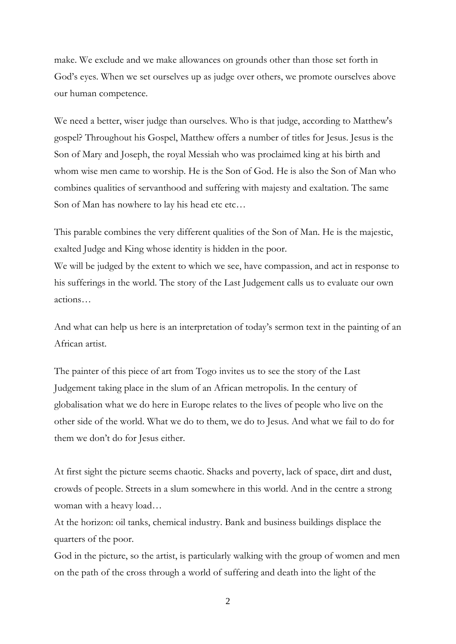make. We exclude and we make allowances on grounds other than those set forth in God's eyes. When we set ourselves up as judge over others, we promote ourselves above our human competence.

We need a better, wiser judge than ourselves. Who is that judge, according to Matthew's gospel? Throughout his Gospel, Matthew offers a number of titles for Jesus. Jesus is the Son of Mary and Joseph, the royal Messiah who was proclaimed king at his birth and whom wise men came to worship. He is the Son of God. He is also the Son of Man who combines qualities of servanthood and suffering with majesty and exaltation. The same Son of Man has nowhere to lay his head etc etc...

This parable combines the very different qualities of the Son of Man. He is the majestic, exalted Judge and King whose identity is hidden in the poor.

We will be judged by the extent to which we see, have compassion, and act in response to his sufferings in the world. The story of the Last Judgement calls us to evaluate our own actions…

And what can help us here is an interpretation of today's sermon text in the painting of an African artist.

The painter of this piece of art from Togo invites us to see the story of the Last Judgement taking place in the slum of an African metropolis. In the century of globalisation what we do here in Europe relates to the lives of people who live on the other side of the world. What we do to them, we do to Jesus. And what we fail to do for them we don't do for Jesus either.

At first sight the picture seems chaotic. Shacks and poverty, lack of space, dirt and dust, crowds of people. Streets in a slum somewhere in this world. And in the centre a strong woman with a heavy load…

At the horizon: oil tanks, chemical industry. Bank and business buildings displace the quarters of the poor.

God in the picture, so the artist, is particularly walking with the group of women and men on the path of the cross through a world of suffering and death into the light of the

2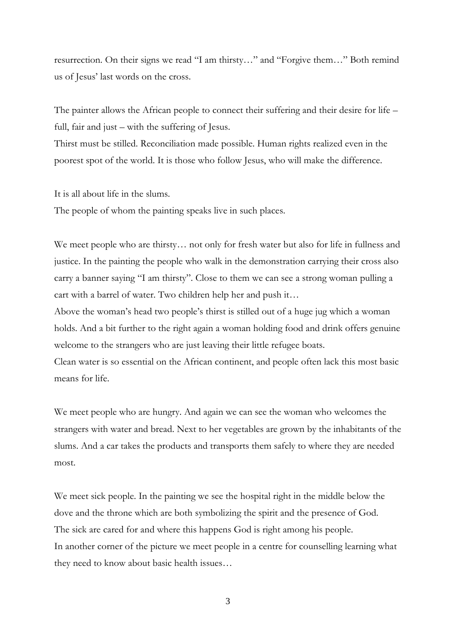resurrection. On their signs we read "I am thirsty…" and "Forgive them…" Both remind us of Jesus' last words on the cross.

The painter allows the African people to connect their suffering and their desire for life – full, fair and just – with the suffering of Jesus.

Thirst must be stilled. Reconciliation made possible. Human rights realized even in the poorest spot of the world. It is those who follow Jesus, who will make the difference.

It is all about life in the slums.

The people of whom the painting speaks live in such places.

We meet people who are thirsty… not only for fresh water but also for life in fullness and justice. In the painting the people who walk in the demonstration carrying their cross also carry a banner saying "I am thirsty". Close to them we can see a strong woman pulling a cart with a barrel of water. Two children help her and push it…

Above the woman's head two people's thirst is stilled out of a huge jug which a woman holds. And a bit further to the right again a woman holding food and drink offers genuine welcome to the strangers who are just leaving their little refugee boats.

Clean water is so essential on the African continent, and people often lack this most basic means for life.

We meet people who are hungry. And again we can see the woman who welcomes the strangers with water and bread. Next to her vegetables are grown by the inhabitants of the slums. And a car takes the products and transports them safely to where they are needed most.

We meet sick people. In the painting we see the hospital right in the middle below the dove and the throne which are both symbolizing the spirit and the presence of God. The sick are cared for and where this happens God is right among his people. In another corner of the picture we meet people in a centre for counselling learning what they need to know about basic health issues…

3